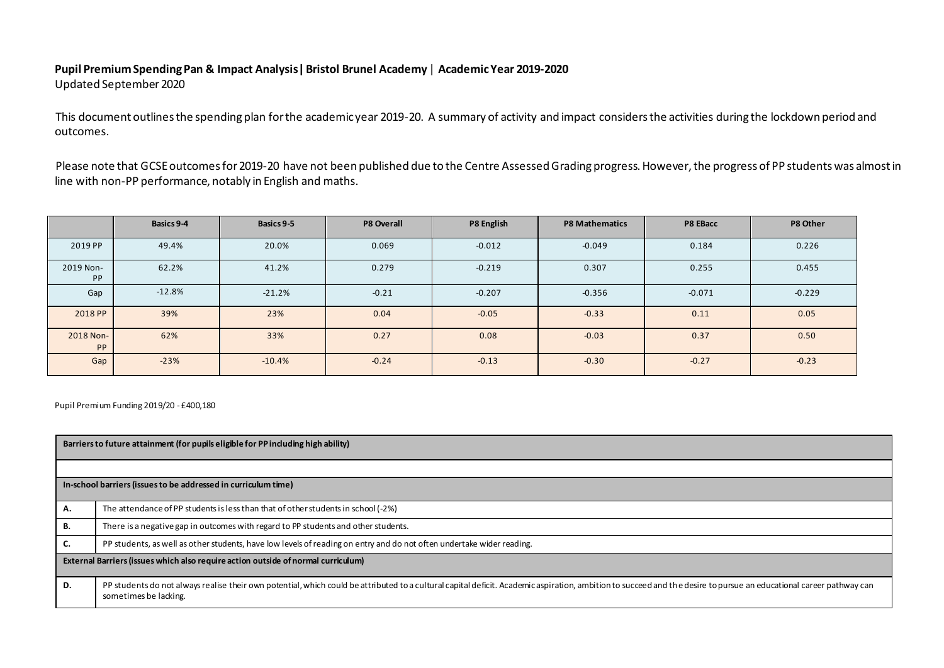# **Pupil Premium Spending Pan & Impact Analysis| Bristol Brunel Academy** | **Academic Year 2019-2020**

Updated September2020

This document outlines the spending plan for the academic year 2019-20. A summary of activity and impact considers the activities during the lockdown period and outcomes.

Please note that GCSE outcomes for 2019-20 have not been published due to the Centre Assessed Grading progress. However, the progress of PP students was almost in line with non-PP performance, notably in English and maths.

|                        | Basics 9-4 | Basics 9-5 | <b>P8 Overall</b> | P8 English | <b>P8 Mathematics</b> | P8 EBacc | P8 Other |
|------------------------|------------|------------|-------------------|------------|-----------------------|----------|----------|
| 2019 PP                | 49.4%      | 20.0%      | 0.069             | $-0.012$   | $-0.049$              | 0.184    | 0.226    |
| 2019 Non-<br><b>PP</b> | 62.2%      | 41.2%      | 0.279             | $-0.219$   | 0.307                 | 0.255    | 0.455    |
| Gap                    | $-12.8%$   | $-21.2%$   | $-0.21$           | $-0.207$   | $-0.356$              | $-0.071$ | $-0.229$ |
| 2018 PP                | 39%        | 23%        | 0.04              | $-0.05$    | $-0.33$               | 0.11     | 0.05     |
| 2018 Non-<br><b>PP</b> | 62%        | 33%        | 0.27              | 0.08       | $-0.03$               | 0.37     | 0.50     |
| Gap                    | $-23%$     | $-10.4%$   | $-0.24$           | $-0.13$    | $-0.30$               | $-0.27$  | $-0.23$  |

Pupil Premium Funding 2019/20 - £400,180

| Barriers to future attainment (for pupils eligible for PP including high ability) |                                                                                                                                                                                                                                              |  |  |  |  |  |
|-----------------------------------------------------------------------------------|----------------------------------------------------------------------------------------------------------------------------------------------------------------------------------------------------------------------------------------------|--|--|--|--|--|
|                                                                                   |                                                                                                                                                                                                                                              |  |  |  |  |  |
| In-school barriers (issues to be addressed in curriculum time)                    |                                                                                                                                                                                                                                              |  |  |  |  |  |
| А.                                                                                | The attendance of PP students is less than that of other students in school (-2%)                                                                                                                                                            |  |  |  |  |  |
| В.                                                                                | There is a negative gap in outcomes with regard to PP students and other students.                                                                                                                                                           |  |  |  |  |  |
| J.                                                                                | PP students, as well as other students, have low levels of reading on entry and do not often undertake wider reading.                                                                                                                        |  |  |  |  |  |
| External Barriers (issues which also require action outside of normal curriculum) |                                                                                                                                                                                                                                              |  |  |  |  |  |
| D.                                                                                | PP students do not always realise their own potential, which could be attributed to a cultural capital deficit. Academic aspiration, ambition to succeed and the desire to pursue an educational career pathway can<br>sometimes be lacking. |  |  |  |  |  |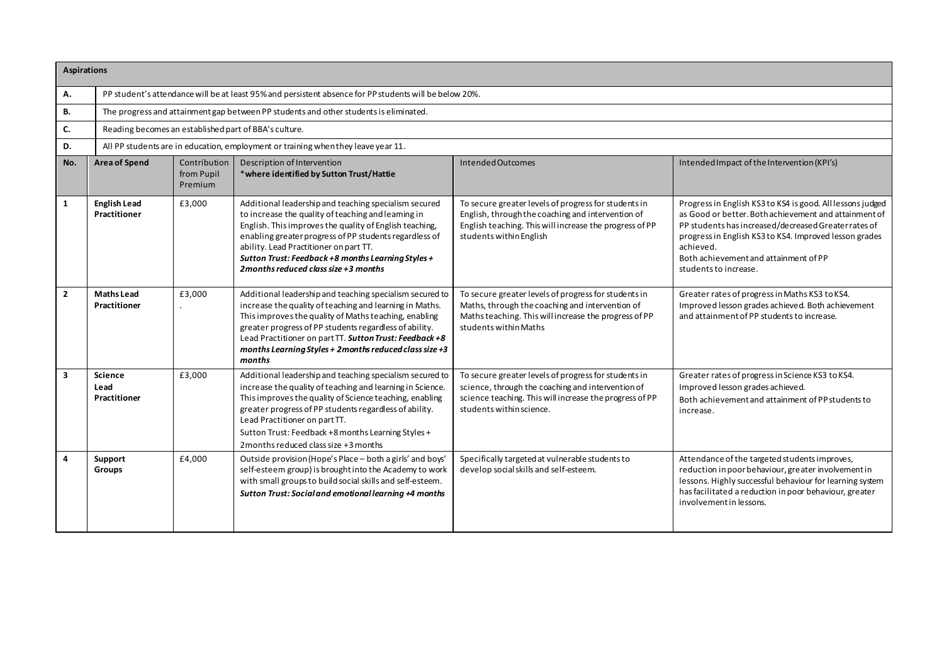| <b>Aspirations</b> |                                                                                       |                                                                                                        |                                                                                                                                                                                                                                                                                                                                                                              |                                                                                                                                                                                                  |                                                                                                                                                                                                                                                                                                                      |  |  |
|--------------------|---------------------------------------------------------------------------------------|--------------------------------------------------------------------------------------------------------|------------------------------------------------------------------------------------------------------------------------------------------------------------------------------------------------------------------------------------------------------------------------------------------------------------------------------------------------------------------------------|--------------------------------------------------------------------------------------------------------------------------------------------------------------------------------------------------|----------------------------------------------------------------------------------------------------------------------------------------------------------------------------------------------------------------------------------------------------------------------------------------------------------------------|--|--|
| Α.                 |                                                                                       | PP student's attendance will be at least 95% and persistent absence for PP students will be below 20%. |                                                                                                                                                                                                                                                                                                                                                                              |                                                                                                                                                                                                  |                                                                                                                                                                                                                                                                                                                      |  |  |
| В.                 | The progress and attainment gap between PP students and other students is eliminated. |                                                                                                        |                                                                                                                                                                                                                                                                                                                                                                              |                                                                                                                                                                                                  |                                                                                                                                                                                                                                                                                                                      |  |  |
| C.                 |                                                                                       |                                                                                                        | Reading becomes an established part of BBA's culture.                                                                                                                                                                                                                                                                                                                        |                                                                                                                                                                                                  |                                                                                                                                                                                                                                                                                                                      |  |  |
| D.                 |                                                                                       |                                                                                                        | All PP students are in education, employment or training when they leave year 11.                                                                                                                                                                                                                                                                                            |                                                                                                                                                                                                  |                                                                                                                                                                                                                                                                                                                      |  |  |
| No.                | <b>Area of Spend</b>                                                                  | Contribution<br>from Pupil<br>Premium                                                                  | Description of Intervention<br>* where identified by Sutton Trust/Hattie                                                                                                                                                                                                                                                                                                     | Intended Outcomes                                                                                                                                                                                | Intended Impact of the Intervention (KPI's)                                                                                                                                                                                                                                                                          |  |  |
| $\mathbf{1}$       | <b>English Lead</b><br>Practitioner                                                   | £3,000                                                                                                 | Additional leadership and teaching specialism secured<br>to increase the quality of teaching and learning in<br>English. This improves the quality of English teaching,<br>enabling greater progress of PP students regardless of<br>ability. Lead Practitioner on part TT.<br>Sutton Trust: Feedback +8 months Learning Styles +<br>2 months reduced class size $+3$ months | To secure greater levels of progress for students in<br>English, through the coaching and intervention of<br>English teaching. This will increase the progress of PP<br>students within English  | Progress in English KS3 to KS4 is good. All lessons judged<br>as Good or better. Both achievement and attainment of<br>PP students has increased/decreased Greater rates of<br>progress in English KS3 to KS4. Improved lesson grades<br>achieved.<br>Both achievement and attainment of PP<br>students to increase. |  |  |
| $\overline{2}$     | <b>Maths Lead</b><br><b>Practitioner</b>                                              | £3,000                                                                                                 | Additional leadership and teaching specialism secured to<br>increase the quality of teaching and learning in Maths.<br>This improves the quality of Maths teaching, enabling<br>greater progress of PP students regardless of ability.<br>Lead Practitioner on part TT. Sutton Trust: Feedback +8<br>months Learning Styles + 2months reduced class size +3<br>months        | To secure greater levels of progress for students in<br>Maths, through the coaching and intervention of<br>Maths teaching. This will increase the progress of PP<br>students within Maths        | Greater rates of progress in Maths KS3 to KS4.<br>Improved lesson grades achieved. Both achievement<br>and attainment of PP students to increase.                                                                                                                                                                    |  |  |
| 3                  | <b>Science</b><br>Lead<br>Practitioner                                                | £3,000                                                                                                 | Additional leadership and teaching specialism secured to<br>increase the quality of teaching and learning in Science.<br>This improves the quality of Science teaching, enabling<br>greater progress of PP students regardless of ability.<br>Lead Practitioner on part TT.<br>Sutton Trust: Feedback +8 months Learning Styles +<br>2 months reduced class size +3 months   | To secure greater levels of progress for students in<br>science, through the coaching and intervention of<br>science teaching. This will increase the progress of PP<br>students within science. | Greater rates of progress in Science KS3 to KS4.<br>Improved lesson grades achieved.<br>Both achievement and attainment of PP students to<br>increase.                                                                                                                                                               |  |  |
| 4                  | Support<br>Groups                                                                     | £4,000                                                                                                 | Outside provision (Hope's Place - both a girls' and boys'<br>self-esteem group) is brought into the Academy to work<br>with small groups to build social skills and self-esteem.<br>Sutton Trust: Social and emotional learning +4 months                                                                                                                                    | Specifically targeted at vulnerable students to<br>develop social skills and self-esteem.                                                                                                        | Attendance of the targeted students improves,<br>reduction in poor behaviour, greater involvement in<br>lessons. Highly successful behaviour for learning system<br>has facilitated a reduction in poor behaviour, greater<br>involvement in lessons.                                                                |  |  |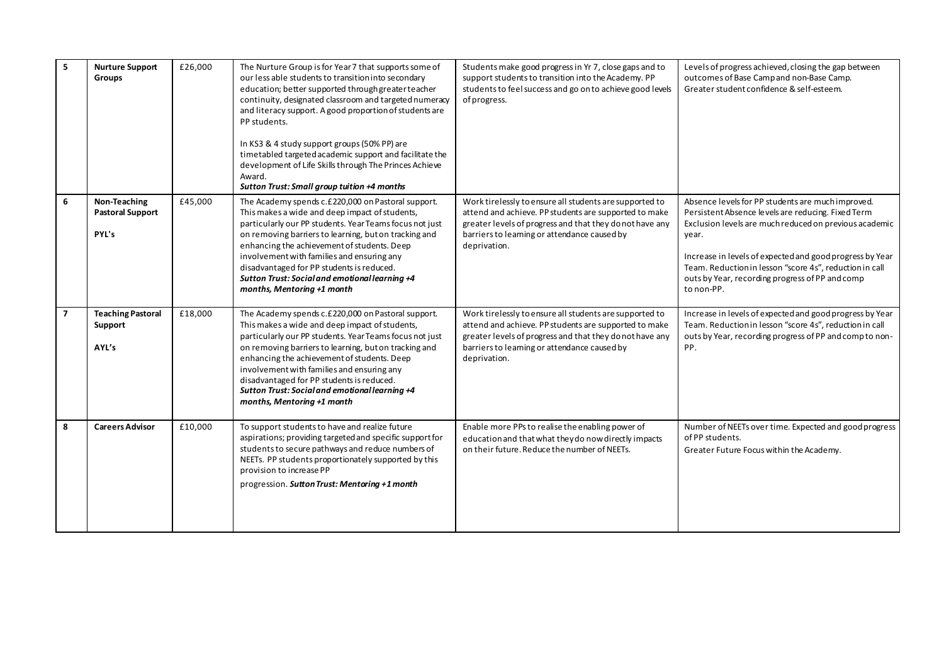| 5              | <b>Nurture Support</b><br><b>Groups</b>          | £26,000 | The Nurture Group is for Year 7 that supports some of<br>our less able students to transition into secondary<br>education; better supported through greater teacher<br>continuity, designated classroom and targeted numeracy<br>and literacy support. A good proportion of students are<br>PP students.<br>In KS3 & 4 study support groups (50% PP) are<br>timetabled targeted academic support and facilitate the<br>development of Life Skills through The Princes Achieve<br>Award.<br>Sutton Trust: Small group tuition +4 months | Students make good progress in Yr 7, close gaps and to<br>support students to transition into the Academy. PP<br>students to feel success and go on to achieve good levels<br>of progress.                                                   | Levels of progress achieved, closing the gap between<br>outcomes of Base Camp and non-Base Camp.<br>Greater student confidence & self-esteem.                                                                                                                                                                                                                      |
|----------------|--------------------------------------------------|---------|----------------------------------------------------------------------------------------------------------------------------------------------------------------------------------------------------------------------------------------------------------------------------------------------------------------------------------------------------------------------------------------------------------------------------------------------------------------------------------------------------------------------------------------|----------------------------------------------------------------------------------------------------------------------------------------------------------------------------------------------------------------------------------------------|--------------------------------------------------------------------------------------------------------------------------------------------------------------------------------------------------------------------------------------------------------------------------------------------------------------------------------------------------------------------|
| 6              | Non-Teaching<br><b>Pastoral Support</b><br>PYL's | £45,000 | The Academy spends c.£220,000 on Pastoral support.<br>This makes a wide and deep impact of students,<br>particularly our PP students. Year Teams focus not just<br>on removing barriers to learning, but on tracking and<br>enhancing the achievement of students. Deep<br>involvement with families and ensuring any<br>disadvantaged for PP students is reduced.<br>Sutton Trust: Social and emotional learning +4<br>months, Mentoring +1 month                                                                                     | Work tirelessly to ensure all students are supported to<br>attend and achieve. PP students are supported to make<br>greater levels of progress and that they do not have any<br>barriers to learning or attendance caused by<br>deprivation. | Absence levels for PP students are much improved.<br>Persistent Absence levels are reducing. Fixed Term<br>Exclusion levels are much reduced on previous academic<br>year.<br>Increase in levels of expected and good progress by Year<br>Team. Reduction in lesson "score 4s", reduction in call<br>outs by Year, recording progress of PP and comp<br>to non-PP. |
| $\overline{7}$ | <b>Teaching Pastoral</b><br>Support<br>AYL's     | £18,000 | The Academy spends c.£220,000 on Pastoral support.<br>This makes a wide and deep impact of students,<br>particularly our PP students. Year Teams focus not just<br>on removing barriers to learning, but on tracking and<br>enhancing the achievement of students. Deep<br>involvement with families and ensuring any<br>disadvantaged for PP students is reduced.<br>Sutton Trust: Social and emotional learning +4<br>months, Mentoring +1 month                                                                                     | Work tirelessly to ensure all students are supported to<br>attend and achieve. PP students are supported to make<br>greater levels of progress and that they do not have any<br>barriers to learning or attendance caused by<br>deprivation. | Increase in levels of expected and good progress by Year<br>Team. Reduction in lesson "score 4s", reduction in call<br>outs by Year, recording progress of PP and compto non-<br>PP.                                                                                                                                                                               |
| 8              | <b>Careers Advisor</b>                           | £10,000 | To support students to have and realize future<br>aspirations; providing targeted and specific support for<br>students to secure pathways and reduce numbers of<br>NEETs. PP students proportionately supported by this<br>provision to increase PP<br>progression. Sutton Trust: Mentoring +1 month                                                                                                                                                                                                                                   | Enable more PPs to realise the enabling power of<br>education and that what they do now directly impacts<br>on their future. Reduce the number of NEETs.                                                                                     | Number of NEETs over time. Expected and good progress<br>of PP students.<br>Greater Future Focus within the Academy.                                                                                                                                                                                                                                               |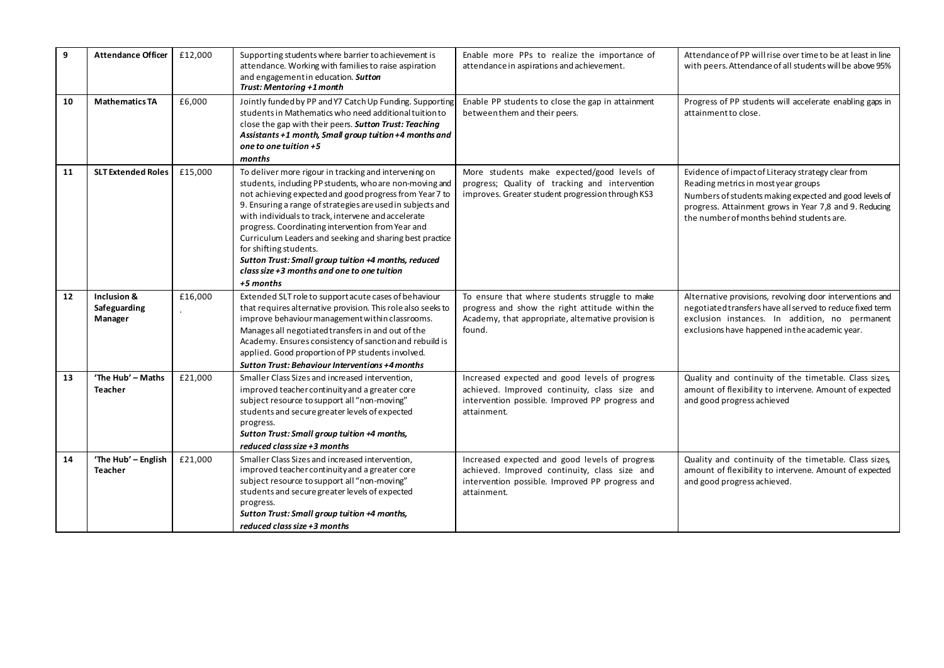| 9  | <b>Attendance Officer</b>              | £12,000 | Supporting students where barrier to achievement is<br>attendance. Working with families to raise aspiration<br>and engagement in education. Sutton<br>Trust: Mentoring +1 month                                                                                                                                                                                                                                                                                                                                                                                  | Enable more PPs to realize the importance of<br>attendance in aspirations and achievement.                                                                         | Attendance of PP will rise over time to be at least in line<br>with peers. Attendance of all students will be above 95%                                                                                                                                    |
|----|----------------------------------------|---------|-------------------------------------------------------------------------------------------------------------------------------------------------------------------------------------------------------------------------------------------------------------------------------------------------------------------------------------------------------------------------------------------------------------------------------------------------------------------------------------------------------------------------------------------------------------------|--------------------------------------------------------------------------------------------------------------------------------------------------------------------|------------------------------------------------------------------------------------------------------------------------------------------------------------------------------------------------------------------------------------------------------------|
| 10 | <b>Mathematics TA</b>                  | £6,000  | Jointly funded by PP and Y7 Catch Up Funding. Supporting<br>students in Mathematics who need additional tuition to<br>close the gap with their peers. Sutton Trust: Teaching<br>Assistants +1 month, Small group tuition +4 months and<br>one to one tuition $+5$<br>months                                                                                                                                                                                                                                                                                       | Enable PP students to close the gap in attainment<br>between them and their peers.                                                                                 | Progress of PP students will accelerate enabling gaps in<br>attainment to close.                                                                                                                                                                           |
| 11 | <b>SLT Extended Roles</b>              | £15,000 | To deliver more rigour in tracking and intervening on<br>students, including PP students, who are non-moving and<br>not achieving expected and good progress from Year 7 to<br>9. Ensuring a range of strategies are used in subjects and<br>with individuals to track, intervene and accelerate<br>progress. Coordinating intervention from Year and<br>Curriculum Leaders and seeking and sharing best practice<br>for shifting students.<br>Sutton Trust: Small group tuition +4 months, reduced<br>class size +3 months and one to one tuition<br>$+5$ months | More students make expected/good levels of<br>progress; Quality of tracking and intervention<br>improves. Greater student progression through KS3                  | Evidence of impact of Literacy strategy clear from<br>Reading metrics in most year groups<br>Numbers of students making expected and good levels of<br>progress. Attainment grows in Year 7,8 and 9. Reducing<br>the number of months behind students are. |
| 12 | Inclusion &<br>Safeguarding<br>Manager | £16,000 | Extended SLT role to support acute cases of behaviour<br>that requires alternative provision. This role also seeks to<br>improve behaviour management within classrooms.<br>Manages all negotiated transfers in and out of the<br>Academy. Ensures consistency of sanction and rebuild is<br>applied. Good proportion of PP students involved.<br>Sutton Trust: Behaviour Interventions +4 months                                                                                                                                                                 | To ensure that where students struggle to make<br>progress and show the right attitude within the<br>Academy, that appropriate, alternative provision is<br>found. | Alternative provisions, revolving door interventions and<br>negotiated transfers have all served to reduce fixed term<br>exclusion instances. In addition, no permanent<br>exclusions have happened in the academic year.                                  |
| 13 | 'The Hub' - Maths<br><b>Teacher</b>    | £21,000 | Smaller Class Sizes and increased intervention,<br>improved teacher continuity and a greater core<br>subject resource to support all "non-moving"<br>students and secure greater levels of expected<br>progress.<br>Sutton Trust: Small group tuition +4 months,<br>reduced class size +3 months                                                                                                                                                                                                                                                                  | Increased expected and good levels of progress<br>achieved. Improved continuity, class size and<br>intervention possible. Improved PP progress and<br>attainment.  | Quality and continuity of the timetable. Class sizes,<br>amount of flexibility to intervene. Amount of expected<br>and good progress achieved                                                                                                              |
| 14 | 'The Hub' - English<br><b>Teacher</b>  | £21,000 | Smaller Class Sizes and increased intervention,<br>improved teacher continuity and a greater core<br>subject resource to support all "non-moving"<br>students and secure greater levels of expected<br>progress.<br>Sutton Trust: Small group tuition +4 months,<br>reduced class size +3 months                                                                                                                                                                                                                                                                  | Increased expected and good levels of progress<br>achieved. Improved continuity, class size and<br>intervention possible. Improved PP progress and<br>attainment.  | Quality and continuity of the timetable. Class sizes,<br>amount of flexibility to intervene. Amount of expected<br>and good progress achieved.                                                                                                             |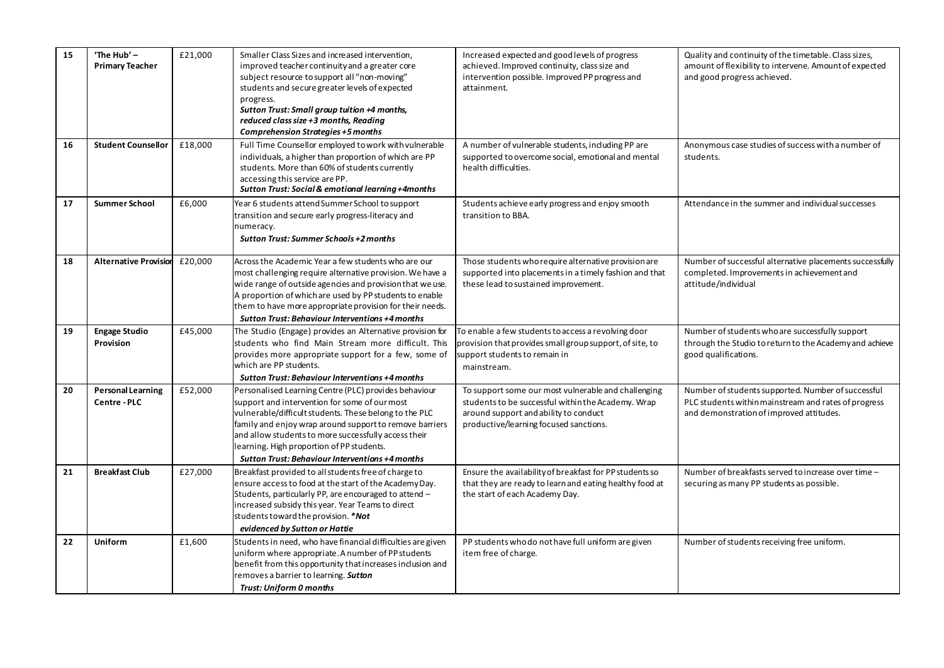| 15 | 'The Hub' -<br><b>Primary Teacher</b>    | £21,000 | Smaller Class Sizes and increased intervention,<br>improved teacher continuity and a greater core<br>subject resource to support all "non-moving"<br>students and secure greater levels of expected<br>progress.<br>Sutton Trust: Small group tuition +4 months,<br>reduced class size +3 months, Reading<br><b>Comprehension Strategies +5 months</b>                              | Increased expected and good levels of progress<br>achieved. Improved continuity, class size and<br>intervention possible. Improved PP progress and<br>attainment.                            | Quality and continuity of the timetable. Class sizes,<br>amount of flexibility to intervene. Amount of expected<br>and good progress achieved.         |
|----|------------------------------------------|---------|-------------------------------------------------------------------------------------------------------------------------------------------------------------------------------------------------------------------------------------------------------------------------------------------------------------------------------------------------------------------------------------|----------------------------------------------------------------------------------------------------------------------------------------------------------------------------------------------|--------------------------------------------------------------------------------------------------------------------------------------------------------|
| 16 | <b>Student Counsellor</b>                | £18,000 | Full Time Counsellor employed to work with vulnerable<br>individuals, a higher than proportion of which are PP<br>students. More than 60% of students currently<br>accessing this service are PP.<br><b>Sutton Trust: Social &amp; emotional learning +4months</b>                                                                                                                  | A number of vulnerable students, including PP are<br>supported to overcome social, emotional and mental<br>health difficulties.                                                              | Anonymous case studies of success with a number of<br>students.                                                                                        |
| 17 | <b>Summer School</b>                     | £6,000  | Year 6 students attend Summer School to support<br>transition and secure early progress-literacy and<br>numeracy.<br>Sutton Trust: Summer Schools +2 months                                                                                                                                                                                                                         | Students achieve early progress and enjoy smooth<br>transition to BBA.                                                                                                                       | Attendance in the summer and individual successes                                                                                                      |
| 18 | <b>Alternative Provision</b>             | £20,000 | Across the Academic Year a few students who are our<br>most challenging require alternative provision. We have a<br>wide range of outside agencies and provision that we use.<br>A proportion of which are used by PP students to enable<br>them to have more appropriate provision for their needs.<br>Sutton Trust: Behaviour Interventions +4 months                             | Those students who require alternative provision are<br>supported into placements in a timely fashion and that<br>these lead to sustained improvement.                                       | Number of successful alternative placements successfully<br>completed. Improvements in achievement and<br>attitude/individual                          |
| 19 | <b>Engage Studio</b><br>Provision        | £45,000 | The Studio (Engage) provides an Alternative provision for<br>students who find Main Stream more difficult. This<br>provides more appropriate support for a few, some of<br>which are PP students.<br>Sutton Trust: Behaviour Interventions +4 months                                                                                                                                | To enable a few students to access a revolving door<br>provision that provides small group support, of site, to<br>support students to remain in<br>mainstream.                              | Number of students who are successfully support<br>through the Studio to return to the Academy and achieve<br>good qualifications.                     |
| 20 | <b>Personal Learning</b><br>Centre - PLC | £52,000 | Personalised Learning Centre (PLC) provides behaviour<br>support and intervention for some of our most<br>vulnerable/difficult students. These belong to the PLC<br>family and enjoy wrap around support to remove barriers<br>and allow students to more successfully access their<br>learning. High proportion of PP students.<br>Sutton Trust: Behaviour Interventions +4 months | To support some our most vulnerable and challenging<br>students to be successful within the Academy. Wrap<br>around support and ability to conduct<br>productive/learning focused sanctions. | Number of students supported. Number of successful<br>PLC students within mainstream and rates of progress<br>and demonstration of improved attitudes. |
| 21 | <b>Breakfast Club</b>                    | £27,000 | Breakfast provided to all students free of charge to<br>ensure access to food at the start of the Academy Day.<br>Students, particularly PP, are encouraged to attend -<br>increased subsidy this year. Year Teams to direct<br>students toward the provision. *Not<br>evidenced by Sutton or Hattie                                                                                | Ensure the availability of breakfast for PP students so<br>that they are ready to learn and eating healthy food at<br>the start of each Academy Day.                                         | Number of breakfasts served to increase over time -<br>securing as many PP students as possible.                                                       |
| 22 | <b>Uniform</b>                           | £1,600  | Students in need, who have financial difficulties are given<br>uniform where appropriate. A number of PP students<br>benefit from this opportunity that increases inclusion and<br>removes a barrier to learning. Sutton<br><b>Trust: Uniform 0 months</b>                                                                                                                          | PP students who do not have full uniform are given<br>item free of charge.                                                                                                                   | Number of students receiving free uniform.                                                                                                             |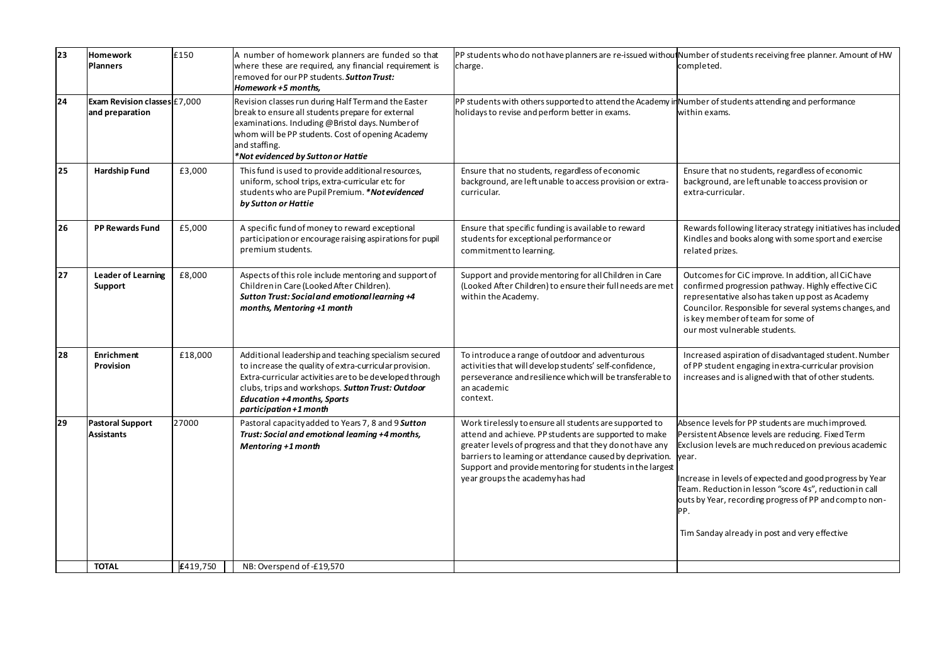| 23 | <b>Homework</b><br><b>Planners</b>              | £150     | A number of homework planners are funded so that<br>where these are required, any financial requirement is<br>removed for our PP students. <b>Sutton Trust:</b><br>Homework +5 months,                                                                                                          | PP students who do not have planners are re-issued without Number of students receiving free planner. Amount of HW<br>charge.                                                                                                                                                                                                             | completed.                                                                                                                                                                                                                                                                                                                                                                                                           |
|----|-------------------------------------------------|----------|-------------------------------------------------------------------------------------------------------------------------------------------------------------------------------------------------------------------------------------------------------------------------------------------------|-------------------------------------------------------------------------------------------------------------------------------------------------------------------------------------------------------------------------------------------------------------------------------------------------------------------------------------------|----------------------------------------------------------------------------------------------------------------------------------------------------------------------------------------------------------------------------------------------------------------------------------------------------------------------------------------------------------------------------------------------------------------------|
| 24 | Exam Revision classes £7,000<br>and preparation |          | Revision classes run during Half Term and the Easter<br>break to ensure all students prepare for external<br>examinations. Including @Bristol days. Number of<br>whom will be PP students. Cost of opening Academy<br>and staffing.<br>*Not evidenced by Sutton or Hattie                       | PP students with others supported to attend the Academy in Number of students attending and performance<br>holidays to revise and perform better in exams.                                                                                                                                                                                | within exams.                                                                                                                                                                                                                                                                                                                                                                                                        |
| 25 | <b>Hardship Fund</b>                            | £3,000   | This fund is used to provide additional resources,<br>uniform, school trips, extra-curricular etc for<br>students who are Pupil Premium. *Not evidenced<br>by Sutton or Hattie                                                                                                                  | Ensure that no students, regardless of economic<br>background, are left unable to access provision or extra-<br>curricular.                                                                                                                                                                                                               | Ensure that no students, regardless of economic<br>background, are left unable to access provision or<br>extra-curricular.                                                                                                                                                                                                                                                                                           |
| 26 | <b>PP Rewards Fund</b>                          | £5,000   | A specific fund of money to reward exceptional<br>participation or encourage raising aspirations for pupil<br>premium students.                                                                                                                                                                 | Ensure that specific funding is available to reward<br>students for exceptional performance or<br>commitment to learning.                                                                                                                                                                                                                 | Rewards following literacy strategy initiatives has included<br>Kindles and books along with some sport and exercise<br>related prizes.                                                                                                                                                                                                                                                                              |
| 27 | <b>Leader of Learning</b><br>Support            | £8,000   | Aspects of this role include mentoring and support of<br>Children in Care (Looked After Children).<br>Sutton Trust: Social and emotional learning +4<br>months, Mentoring +1 month                                                                                                              | Support and provide mentoring for all Children in Care<br>(Looked After Children) to ensure their full needs are met<br>within the Academy.                                                                                                                                                                                               | Outcomes for CiC improve. In addition, all CiChave<br>confirmed progression pathway. Highly effective CiC<br>representative also has taken up post as Academy<br>Councilor. Responsible for several systems changes, and<br>is key member of team for some of<br>our most vulnerable students.                                                                                                                       |
| 28 | <b>Enrichment</b><br><b>Provision</b>           | £18,000  | Additional leadership and teaching specialism secured<br>to increase the quality of extra-curricular provision.<br>Extra-curricular activities are to be developed through<br>clubs, trips and workshops. Sutton Trust: Outdoor<br><b>Education +4 months, Sports</b><br>participation +1 month | To introduce a range of outdoor and adventurous<br>activities that will develop students' self-confidence,<br>perseverance and resilience which will be transferable to<br>an academic<br>context.                                                                                                                                        | Increased aspiration of disadvantaged student. Number<br>of PP student engaging in extra-curricular provision<br>increases and is aligned with that of other students.                                                                                                                                                                                                                                               |
| 29 | <b>Pastoral Support</b><br><b>Assistants</b>    | 27000    | Pastoral capacity added to Years 7, 8 and 9 Sutton<br>Trust: Social and emotional learning +4 months,<br>Mentoring +1 month                                                                                                                                                                     | Work tirelessly to ensure all students are supported to<br>attend and achieve. PP students are supported to make<br>greater levels of progress and that they do not have any<br>barriers to learning or attendance caused by deprivation.<br>Support and provide mentoring for students in the largest<br>year groups the academy has had | Absence levels for PP students are much improved.<br>Persistent Absence levels are reducing. Fixed Term<br>Exclusion levels are much reduced on previous academic<br>year.<br>Increase in levels of expected and good progress by Year<br>Team. Reduction in lesson "score 4s", reduction in call<br>outs by Year, recording progress of PP and comp to non-<br>PP.<br>Tim Sanday already in post and very effective |
|    | <b>TOTAL</b>                                    | £419,750 | NB: Overspend of -£19,570                                                                                                                                                                                                                                                                       |                                                                                                                                                                                                                                                                                                                                           |                                                                                                                                                                                                                                                                                                                                                                                                                      |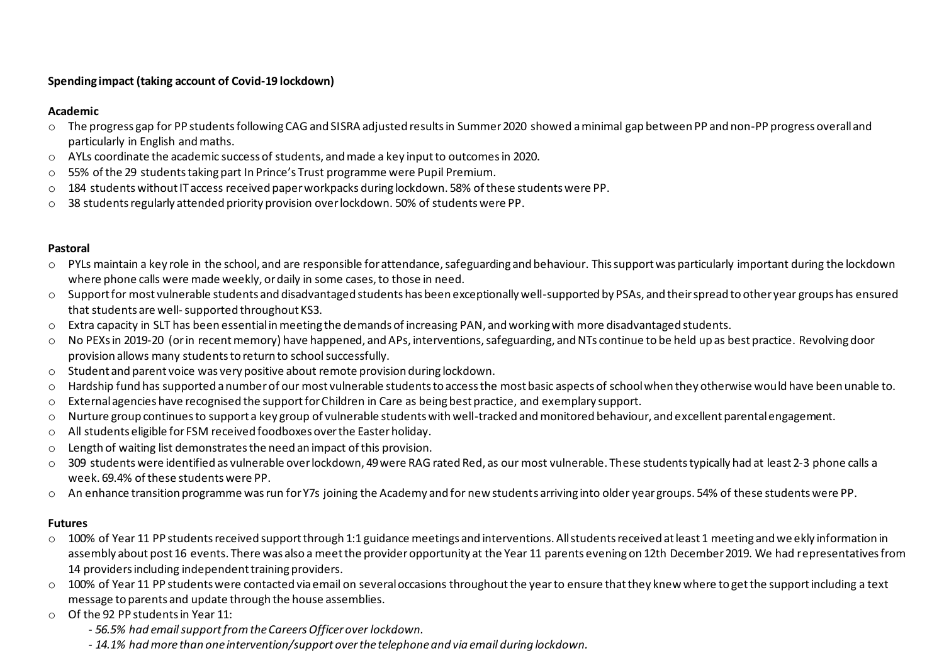## **Spending impact (taking account of Covid-19 lockdown)**

#### **Academic**

- o The progress gap for PP students following CAG and SISRA adjusted results in Summer 2020 showed a minimal gap between PP and non-PP progress overall and particularly in English and maths.
- $\circ$  AYLs coordinate the academic success of students, and made a key input to outcomes in 2020.
- $\circ$  55% of the 29 students taking part In Prince's Trust programme were Pupil Premium.
- $\circ$  184 students without IT access received paper workpacks during lockdown. 58% of these students were PP.
- $\circ$  38 students regularly attended priority provision over lockdown. 50% of students were PP.

#### **Pastoral**

- $\circ$  PYLs maintain a key role in the school, and are responsible for attendance, safeguarding and behaviour. This support was particularly important during the lockdown where phone calls were made weekly, or daily in some cases, to those in need.
- o Support for most vulnerable students and disadvantaged students has been exceptionally well-supported by PSAs, and their spread to other year groups has ensured that students are well-supported throughout KS3.
- o Extra capacity in SLT has been essential in meeting the demands of increasing PAN, and working with more disadvantaged students.
- o No PEXsin 2019-20 (or in recent memory) have happened, and APs, interventions, safeguarding, and NTs continue to be held up as best practice. Revolving door provision allows many students to return to school successfully.
- o Student and parent voice was very positive about remote provision during lockdown.
- $\circ$  Hardship fund has supported a number of our most vulnerable students to access the most basic aspects of school when they otherwise would have been unable to.
- $\circ$  External agencies have recognised the support for Children in Care as being best practice, and exemplary support.
- o Nurture group continues to support a key group of vulnerable students with well-tracked and monitored behaviour, and excellent parental engagement.
- o All students eligible for FSM received foodboxes over the Easter holiday.
- o Length of waiting list demonstrates the need an impact of this provision.
- o 309 students were identified as vulnerable over lockdown, 49 were RAG rated Red, as our most vulnerable. These students typically had at least 2-3 phone calls a week. 69.4% of these students were PP.
- o An enhance transition programme was run for Y7s joining the Academy and for new students arriving into older year groups. 54% of these students were PP.

### **Futures**

- o 100% of Year 11 PP students received support through 1:1 guidance meetings and interventions. All students received at least 1 meeting and we ekly information in assembly about post 16 events. There was also a meet the provider opportunity at the Year 11 parents evening on 12th December 2019. We had representatives from 14 providers including independent training providers.
- $\circ$  100% of Year 11 PP students were contacted via email on several occasions throughout the year to ensure that they knew where to get the support including a text message to parents and update through the house assemblies.
- o Of the 92 PP students in Year 11:
	- *- 56.5% had email support from the Careers Officer over lockdown.*
	- *- 14.1% had more than one intervention/support over the telephone and via email during lockdown.*